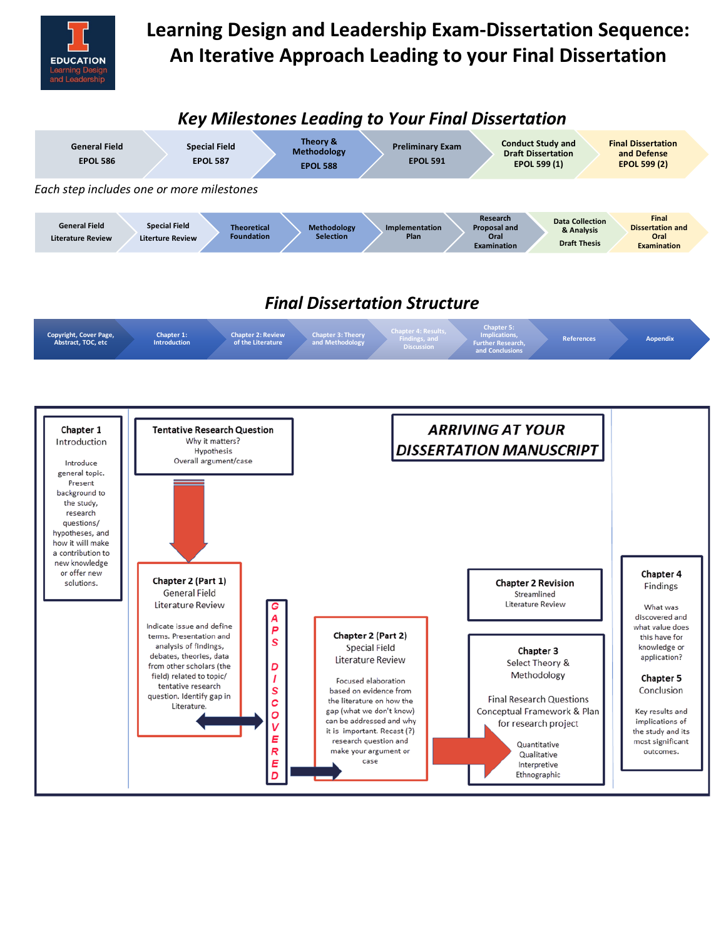

# **Learning Design and Leadership Exam-Dissertation Sequence: An Iterative Approach Leading to your Final Dissertation**

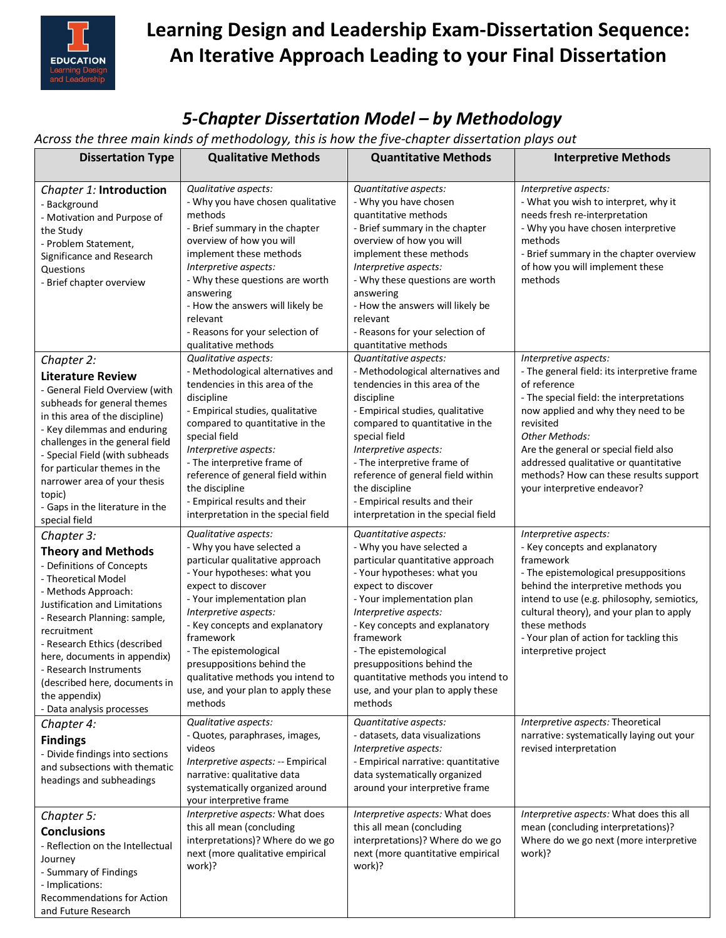

# **Learning Design and Leadership Exam-Dissertation Sequence: An Iterative Approach Leading to your Final Dissertation**

#### *5-Chapter Dissertation Model – by Methodology*

*Across the three main kinds of methodology, this is how the five-chapter dissertation plays out* 

| <b>Dissertation Type</b>                                                                                                                                                                                                                                                                                                                                                     | <i>.,,</i><br><b>Qualitative Methods</b>                                                                                                                                                                                                                                                                                                                                                    | <b>Quantitative Methods</b>                                                                                                                                                                                                                                                                                                                                                                    | <b>Interpretive Methods</b>                                                                                                                                                                                                                                                                                                                                       |
|------------------------------------------------------------------------------------------------------------------------------------------------------------------------------------------------------------------------------------------------------------------------------------------------------------------------------------------------------------------------------|---------------------------------------------------------------------------------------------------------------------------------------------------------------------------------------------------------------------------------------------------------------------------------------------------------------------------------------------------------------------------------------------|------------------------------------------------------------------------------------------------------------------------------------------------------------------------------------------------------------------------------------------------------------------------------------------------------------------------------------------------------------------------------------------------|-------------------------------------------------------------------------------------------------------------------------------------------------------------------------------------------------------------------------------------------------------------------------------------------------------------------------------------------------------------------|
| Chapter 1: Introduction<br>- Background<br>- Motivation and Purpose of<br>the Study<br>- Problem Statement,<br>Significance and Research<br>Questions<br>- Brief chapter overview                                                                                                                                                                                            | Qualitative aspects:<br>- Why you have chosen qualitative<br>methods<br>- Brief summary in the chapter<br>overview of how you will<br>implement these methods<br>Interpretive aspects:<br>- Why these questions are worth<br>answering<br>- How the answers will likely be<br>relevant<br>- Reasons for your selection of<br>qualitative methods                                            | Quantitative aspects:<br>- Why you have chosen<br>quantitative methods<br>- Brief summary in the chapter<br>overview of how you will<br>implement these methods<br>Interpretive aspects:<br>- Why these questions are worth<br>answering<br>- How the answers will likely be<br>relevant<br>- Reasons for your selection of<br>quantitative methods                                            | Interpretive aspects:<br>- What you wish to interpret, why it<br>needs fresh re-interpretation<br>- Why you have chosen interpretive<br>methods<br>- Brief summary in the chapter overview<br>of how you will implement these<br>methods                                                                                                                          |
| Chapter 2:<br><b>Literature Review</b><br>- General Field Overview (with<br>subheads for general themes<br>in this area of the discipline)<br>- Key dilemmas and enduring<br>challenges in the general field<br>- Special Field (with subheads<br>for particular themes in the<br>narrower area of your thesis<br>topic)<br>- Gaps in the literature in the<br>special field | Qualitative aspects:<br>- Methodological alternatives and<br>tendencies in this area of the<br>discipline<br>- Empirical studies, qualitative<br>compared to quantitative in the<br>special field<br>Interpretive aspects:<br>- The interpretive frame of<br>reference of general field within<br>the discipline<br>- Empirical results and their<br>interpretation in the special field    | Quantitative aspects:<br>- Methodological alternatives and<br>tendencies in this area of the<br>discipline<br>- Empirical studies, qualitative<br>compared to quantitative in the<br>special field<br>Interpretive aspects:<br>- The interpretive frame of<br>reference of general field within<br>the discipline<br>- Empirical results and their<br>interpretation in the special field      | Interpretive aspects:<br>- The general field: its interpretive frame<br>of reference<br>- The special field: the interpretations<br>now applied and why they need to be<br>revisited<br>Other Methods:<br>Are the general or special field also<br>addressed qualitative or quantitative<br>methods? How can these results support<br>your interpretive endeavor? |
| Chapter 3:<br><b>Theory and Methods</b><br>- Definitions of Concepts<br>- Theoretical Model<br>- Methods Approach:<br>Justification and Limitations<br>- Research Planning: sample,<br>recruitment<br>- Research Ethics (described<br>here, documents in appendix)<br>- Research Instruments<br>(described here, documents in<br>the appendix)<br>- Data analysis processes  | Qualitative aspects:<br>- Why you have selected a<br>particular qualitative approach<br>- Your hypotheses: what you<br>expect to discover<br>- Your implementation plan<br>Interpretive aspects:<br>- Key concepts and explanatory<br>framework<br>- The epistemological<br>presuppositions behind the<br>qualitative methods you intend to<br>use, and your plan to apply these<br>methods | Quantitative aspects:<br>- Why you have selected a<br>particular quantitative approach<br>- Your hypotheses: what you<br>expect to discover<br>- Your implementation plan<br>Interpretive aspects:<br>- Key concepts and explanatory<br>framework<br>- The epistemological<br>presuppositions behind the<br>quantitative methods you intend to<br>use, and your plan to apply these<br>methods | Interpretive aspects:<br>- Key concepts and explanatory<br>framework<br>- The epistemological presuppositions<br>behind the interpretive methods you<br>intend to use (e.g. philosophy, semiotics,<br>cultural theory), and your plan to apply<br>these methods<br>- Your plan of action for tackling this<br>interpretive project                                |
| Chapter 4:<br><b>Findings</b><br>- Divide findings into sections<br>and subsections with thematic<br>headings and subheadings                                                                                                                                                                                                                                                | Qualitative aspects:<br>- Quotes, paraphrases, images,<br>videos<br>Interpretive aspects: -- Empirical<br>narrative: qualitative data<br>systematically organized around<br>your interpretive frame                                                                                                                                                                                         | Quantitative aspects:<br>- datasets, data visualizations<br>Interpretive aspects:<br>- Empirical narrative: quantitative<br>data systematically organized<br>around your interpretive frame                                                                                                                                                                                                    | Interpretive aspects: Theoretical<br>narrative: systematically laying out your<br>revised interpretation                                                                                                                                                                                                                                                          |
| Chapter 5:<br><b>Conclusions</b><br>- Reflection on the Intellectual<br>Journey<br>- Summary of Findings<br>- Implications:<br>Recommendations for Action<br>and Future Research                                                                                                                                                                                             | Interpretive aspects: What does<br>this all mean (concluding<br>interpretations)? Where do we go<br>next (more qualitative empirical<br>work)?                                                                                                                                                                                                                                              | Interpretive aspects: What does<br>this all mean (concluding<br>interpretations)? Where do we go<br>next (more quantitative empirical<br>work)?                                                                                                                                                                                                                                                | Interpretive aspects: What does this all<br>mean (concluding interpretations)?<br>Where do we go next (more interpretive<br>work)?                                                                                                                                                                                                                                |